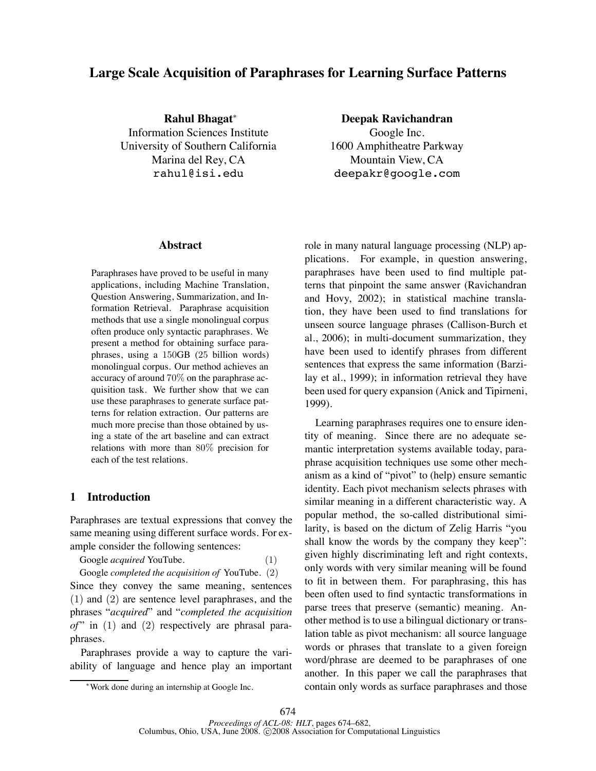# **Large Scale Acquisition of Paraphrases for Learning Surface Patterns**

**Rahul Bhagat**<sup>∗</sup> Information Sciences Institute University of Southern California Marina del Rey, CA rahul@isi.edu

**Abstract**

Paraphrases have proved to be useful in many applications, including Machine Translation, Question Answering, Summarization, and Information Retrieval. Paraphrase acquisition methods that use a single monolingual corpus often produce only syntactic paraphrases. We present a method for obtaining surface paraphrases, using a 150GB (25 billion words) monolingual corpus. Our method achieves an accuracy of around 70% on the paraphrase acquisition task. We further show that we can use these paraphrases to generate surface patterns for relation extraction. Our patterns are much more precise than those obtained by using a state of the art baseline and can extract relations with more than 80% precision for each of the test relations.

# **1 Introduction**

Paraphrases are textual expressions that convey the same meaning using different surface words. For example consider the following sentences:

Google *acquired* YouTube. (1) Google *completed the acquisition of* YouTube. (2)

Since they convey the same meaning, sentences (1) and (2) are sentence level paraphrases, and the phrases "*acquired*" and "*completed the acquisition*  $of$ " in  $(1)$  and  $(2)$  respectively are phrasal paraphrases.

Paraphrases provide a way to capture the variability of language and hence play an important

**Deepak Ravichandran** Google Inc. 1600 Amphitheatre Parkway Mountain View, CA deepakr@google.com

role in many natural language processing (NLP) applications. For example, in question answering, paraphrases have been used to find multiple patterns that pinpoint the same answer (Ravichandran and Hovy, 2002); in statistical machine translation, they have been used to find translations for unseen source language phrases (Callison-Burch et al., 2006); in multi-document summarization, they have been used to identify phrases from different sentences that express the same information (Barzilay et al., 1999); in information retrieval they have been used for query expansion (Anick and Tipirneni, 1999).

Learning paraphrases requires one to ensure identity of meaning. Since there are no adequate semantic interpretation systems available today, paraphrase acquisition techniques use some other mechanism as a kind of "pivot" to (help) ensure semantic identity. Each pivot mechanism selects phrases with similar meaning in a different characteristic way. A popular method, the so-called distributional similarity, is based on the dictum of Zelig Harris "you shall know the words by the company they keep": given highly discriminating left and right contexts, only words with very similar meaning will be found to fit in between them. For paraphrasing, this has been often used to find syntactic transformations in parse trees that preserve (semantic) meaning. Another method is to use a bilingual dictionary or translation table as pivot mechanism: all source language words or phrases that translate to a given foreign word/phrase are deemed to be paraphrases of one another. In this paper we call the paraphrases that contain only words as surface paraphrases and those

<sup>∗</sup>Work done during an internship at Google Inc.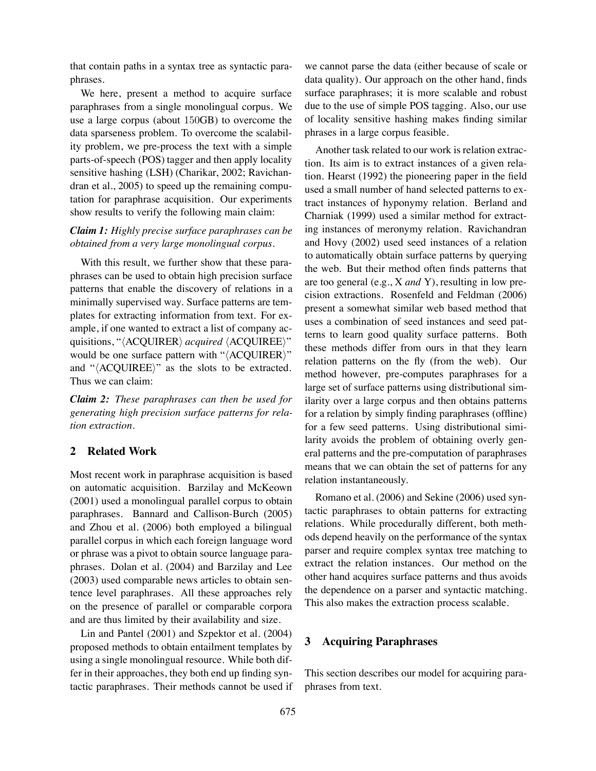that contain paths in a syntax tree as syntactic paraphrases.

We here, present a method to acquire surface paraphrases from a single monolingual corpus. We use a large corpus (about 150GB) to overcome the data sparseness problem. To overcome the scalability problem, we pre-process the text with a simple parts-of-speech (POS) tagger and then apply locality sensitive hashing (LSH) (Charikar, 2002; Ravichandran et al., 2005) to speed up the remaining computation for paraphrase acquisition. Our experiments show results to verify the following main claim:

# *Claim 1: Highly precise surface paraphrases can be obtained from a very large monolingual corpus.*

With this result, we further show that these paraphrases can be used to obtain high precision surface patterns that enable the discovery of relations in a minimally supervised way. Surface patterns are templates for extracting information from text. For example, if one wanted to extract a list of company acquisitions, "*(ACQUIRER) acquired (ACQUIREE)*" would be one surface pattern with " $\langle$ ACQUIRER $\rangle$ " and " $\langle \text{ACQUIREE} \rangle$ " as the slots to be extracted. Thus we can claim:

*Claim 2: These paraphrases can then be used for generating high precision surface patterns for relation extraction.*

# **2 Related Work**

Most recent work in paraphrase acquisition is based on automatic acquisition. Barzilay and McKeown (2001) used a monolingual parallel corpus to obtain paraphrases. Bannard and Callison-Burch (2005) and Zhou et al. (2006) both employed a bilingual parallel corpus in which each foreign language word or phrase was a pivot to obtain source language paraphrases. Dolan et al. (2004) and Barzilay and Lee (2003) used comparable news articles to obtain sentence level paraphrases. All these approaches rely on the presence of parallel or comparable corpora and are thus limited by their availability and size.

Lin and Pantel (2001) and Szpektor et al. (2004) proposed methods to obtain entailment templates by using a single monolingual resource. While both differ in their approaches, they both end up finding syntactic paraphrases. Their methods cannot be used if we cannot parse the data (either because of scale or data quality). Our approach on the other hand, finds surface paraphrases; it is more scalable and robust due to the use of simple POS tagging. Also, our use of locality sensitive hashing makes finding similar phrases in a large corpus feasible.

Another task related to our work is relation extraction. Its aim is to extract instances of a given relation. Hearst (1992) the pioneering paper in the field used a small number of hand selected patterns to extract instances of hyponymy relation. Berland and Charniak (1999) used a similar method for extracting instances of meronymy relation. Ravichandran and Hovy (2002) used seed instances of a relation to automatically obtain surface patterns by querying the web. But their method often finds patterns that are too general (e.g., X *and* Y), resulting in low precision extractions. Rosenfeld and Feldman (2006) present a somewhat similar web based method that uses a combination of seed instances and seed patterns to learn good quality surface patterns. Both these methods differ from ours in that they learn relation patterns on the fly (from the web). Our method however, pre-computes paraphrases for a large set of surface patterns using distributional similarity over a large corpus and then obtains patterns for a relation by simply finding paraphrases (offline) for a few seed patterns. Using distributional similarity avoids the problem of obtaining overly general patterns and the pre-computation of paraphrases means that we can obtain the set of patterns for any relation instantaneously.

Romano et al. (2006) and Sekine (2006) used syntactic paraphrases to obtain patterns for extracting relations. While procedurally different, both methods depend heavily on the performance of the syntax parser and require complex syntax tree matching to extract the relation instances. Our method on the other hand acquires surface patterns and thus avoids the dependence on a parser and syntactic matching. This also makes the extraction process scalable.

# **3 Acquiring Paraphrases**

This section describes our model for acquiring paraphrases from text.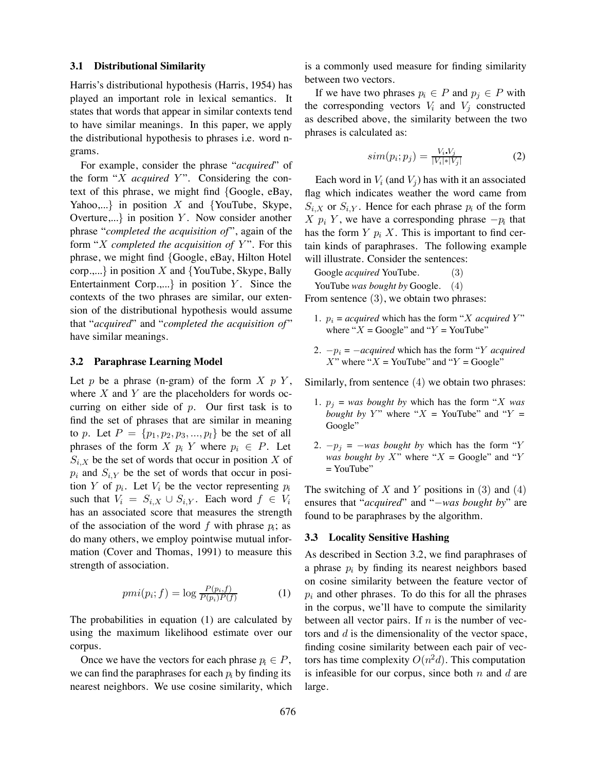#### **3.1 Distributional Similarity**

Harris's distributional hypothesis (Harris, 1954) has played an important role in lexical semantics. It states that words that appear in similar contexts tend to have similar meanings. In this paper, we apply the distributional hypothesis to phrases i.e. word ngrams.

For example, consider the phrase "*acquired*" of the form " $X$  *acquired*  $Y$ ". Considering the context of this phrase, we might find {Google, eBay, Yahoo,...} in position X and {YouTube, Skype, Overture,...} in position  $Y$ . Now consider another phrase "*completed the acquisition of* ", again of the form "X *completed the acquisition of Y*". For this phrase, we might find {Google, eBay, Hilton Hotel corp.,...} in position  $X$  and {YouTube, Skype, Bally Entertainment Corp.,...} in position  $Y$ . Since the contexts of the two phrases are similar, our extension of the distributional hypothesis would assume that "*acquired*" and "*completed the acquisition of* " have similar meanings.

### **3.2 Paraphrase Learning Model**

Let p be a phrase (n-gram) of the form  $X$  p  $Y$ , where  $X$  and  $Y$  are the placeholders for words occurring on either side of  $p$ . Our first task is to find the set of phrases that are similar in meaning to p. Let  $P = \{p_1, p_2, p_3, ..., p_l\}$  be the set of all phrases of the form X  $p_i$  Y where  $p_i \in P$ . Let  $S_{i,X}$  be the set of words that occur in position X of  $p_i$  and  $S_{i,Y}$  be the set of words that occur in position Y of  $p_i$ . Let  $V_i$  be the vector representing  $p_i$ such that  $V_i = S_{i,X} \cup S_{i,Y}$ . Each word  $f \in V_i$ has an associated score that measures the strength of the association of the word f with phrase  $p_i$ ; as do many others, we employ pointwise mutual information (Cover and Thomas, 1991) to measure this strength of association.

$$
pmi(p_i; f) = \log \frac{P(p_i, f)}{P(p_i)P(f)}\tag{1}
$$

The probabilities in equation (1) are calculated by using the maximum likelihood estimate over our corpus.

Once we have the vectors for each phrase  $p_i \in P$ , we can find the paraphrases for each  $p_i$  by finding its nearest neighbors. We use cosine similarity, which is a commonly used measure for finding similarity between two vectors.

If we have two phrases  $p_i \in P$  and  $p_j \in P$  with the corresponding vectors  $V_i$  and  $V_j$  constructed as described above, the similarity between the two phrases is calculated as:

$$
sim(p_i; p_j) = \frac{V_i V_j}{|V_i| * |V_j|} \tag{2}
$$

Each word in  $V_i$  (and  $V_j$ ) has with it an associated flag which indicates weather the word came from  $S_{i,X}$  or  $S_{i,Y}$ . Hence for each phrase  $p_i$  of the form X  $p_i$  Y, we have a corresponding phrase  $-p_i$  that has the form  $Y$   $p_i$   $X$ . This is important to find certain kinds of paraphrases. The following example will illustrate. Consider the sentences:

Google *acquired* YouTube. (3) YouTube *was bought by* Google. (4)

From sentence  $(3)$ , we obtain two phrases:

- 1.  $p_i$  = *acquired* which has the form "*X acquired* Y" where " $X = Google$ " and " $Y = YouTube$ "
- 2.  $-p_i = -acquired$  which has the form "Y *acquired* X" where " $X =$ YouTube" and " $Y =$ Google"

Similarly, from sentence (4) we obtain two phrases:

- 1.  $p_i = was$  *bought by* which has the form "X *was bought by Y*" where " $X =$  YouTube" and " $Y =$ Google"
- 2.  $-p_i = -was$  *bought by* which has the form "Y *was bought by*  $X$ " where " $X = Google$ " and "Y  $=$  YouTube"

The switching of X and Y positions in  $(3)$  and  $(4)$ ensures that "*acquired*" and "−*was bought by*" are found to be paraphrases by the algorithm.

#### **3.3 Locality Sensitive Hashing**

As described in Section 3.2, we find paraphrases of a phrase  $p_i$  by finding its nearest neighbors based on cosine similarity between the feature vector of  $p_i$  and other phrases. To do this for all the phrases in the corpus, we'll have to compute the similarity between all vector pairs. If  $n$  is the number of vectors and d is the dimensionality of the vector space, finding cosine similarity between each pair of vectors has time complexity  $O(n^2d)$ . This computation is infeasible for our corpus, since both  $n$  and  $d$  are large.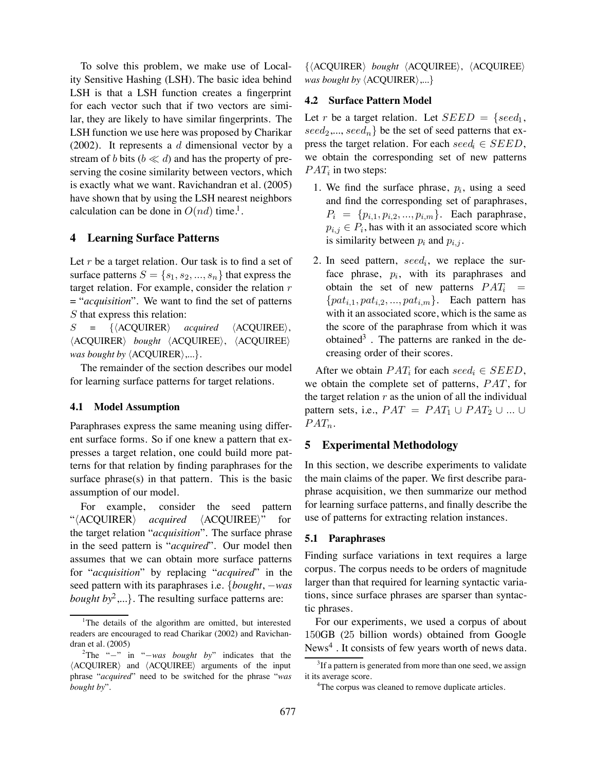To solve this problem, we make use of Locality Sensitive Hashing (LSH). The basic idea behind LSH is that a LSH function creates a fingerprint for each vector such that if two vectors are similar, they are likely to have similar fingerprints. The LSH function we use here was proposed by Charikar (2002). It represents a d dimensional vector by a stream of b bits ( $b \ll d$ ) and has the property of preserving the cosine similarity between vectors, which is exactly what we want. Ravichandran et al. (2005) have shown that by using the LSH nearest neighbors calculation can be done in  $O(nd)$  time.<sup>1</sup>.

## **4 Learning Surface Patterns**

Let  $r$  be a target relation. Our task is to find a set of surface patterns  $S = \{s_1, s_2, ..., s_n\}$  that express the target relation. For example, consider the relation  $r$ = "*acquisition*". We want to find the set of patterns S that express this relation:

 $S = \{ \langle A\text{COUNRER} \rangle \quad \text{acquired} \quad \langle A\text{COUNREE} \rangle,$  $\langle ACQUIRER \rangle$  *bought*  $\langle ACQUIREE \rangle$ ,  $\langle ACQUIREE \rangle$ *was bought by*  $\langle$  ACQUIRER $\rangle$ ,...}.

The remainder of the section describes our model for learning surface patterns for target relations.

# **4.1 Model Assumption**

Paraphrases express the same meaning using different surface forms. So if one knew a pattern that expresses a target relation, one could build more patterns for that relation by finding paraphrases for the surface phrase(s) in that pattern. This is the basic assumption of our model.

For example, consider the seed pattern "(ACQUIRER) *acquired* (ACQUIREE)" for the target relation "*acquisition*". The surface phrase in the seed pattern is "*acquired*". Our model then assumes that we can obtain more surface patterns for "*acquisition*" by replacing "*acquired*" in the seed pattern with its paraphrases i.e. {*bought*, −*was bought by*<sup>2</sup>,...}. The resulting surface patterns are:

 $\{\langle ACQUIRER\rangle\; \text{bought} \; \langle ACQUIREE\rangle, \; \langle ACQUIREE\rangle\}$ *was bought by*  $\langle$  ACQUIRER $\rangle$ ,...}

### **4.2 Surface Pattern Model**

Let r be a target relation. Let  $SEED = \{seed_1,$  $seed_2, ..., seed_n$  be the set of seed patterns that express the target relation. For each  $seed_i \in SEED$ , we obtain the corresponding set of new patterns  $PAT_i$  in two steps:

- 1. We find the surface phrase,  $p_i$ , using a seed and find the corresponding set of paraphrases,  $P_i = \{p_{i,1}, p_{i,2}, ..., p_{i,m}\}.$  Each paraphrase,  $p_{i,j} \in P_i$ , has with it an associated score which is similarity between  $p_i$  and  $p_{i,j}$ .
- 2. In seed pattern, seed<sub>i</sub>, we replace the surface phrase,  $p_i$ , with its paraphrases and obtain the set of new patterns  $PAT_i$  =  $\{pat_{i,1}, pat_{i,2}, ..., pat_{i,m}\}.$  Each pattern has with it an associated score, which is the same as the score of the paraphrase from which it was obtained<sup>3</sup>. The patterns are ranked in the decreasing order of their scores.

After we obtain  $PAT_i$  for each  $seed_i \in SEED$ , we obtain the complete set of patterns,  $PAT$ , for the target relation  $r$  as the union of all the individual pattern sets, i.e.,  $PAT = PAT_1 \cup PAT_2 \cup ... \cup$  $PAT_n$ .

### **5 Experimental Methodology**

In this section, we describe experiments to validate the main claims of the paper. We first describe paraphrase acquisition, we then summarize our method for learning surface patterns, and finally describe the use of patterns for extracting relation instances.

#### **5.1 Paraphrases**

Finding surface variations in text requires a large corpus. The corpus needs to be orders of magnitude larger than that required for learning syntactic variations, since surface phrases are sparser than syntactic phrases.

For our experiments, we used a corpus of about 150GB (25 billion words) obtained from Google  $News<sup>4</sup>$ . It consists of few years worth of news data.

<sup>&</sup>lt;sup>1</sup>The details of the algorithm are omitted, but interested readers are encouraged to read Charikar (2002) and Ravichandran et al. (2005)

<sup>2</sup> The "−" in "−*was bought by*" indicates that the  $\langle ACOUIRER \rangle$  and  $\langle ACOUIREE \rangle$  arguments of the input phrase "*acquired*" need to be switched for the phrase "*was bought by*".

 $3$ If a pattern is generated from more than one seed, we assign it its average score.

<sup>&</sup>lt;sup>4</sup>The corpus was cleaned to remove duplicate articles.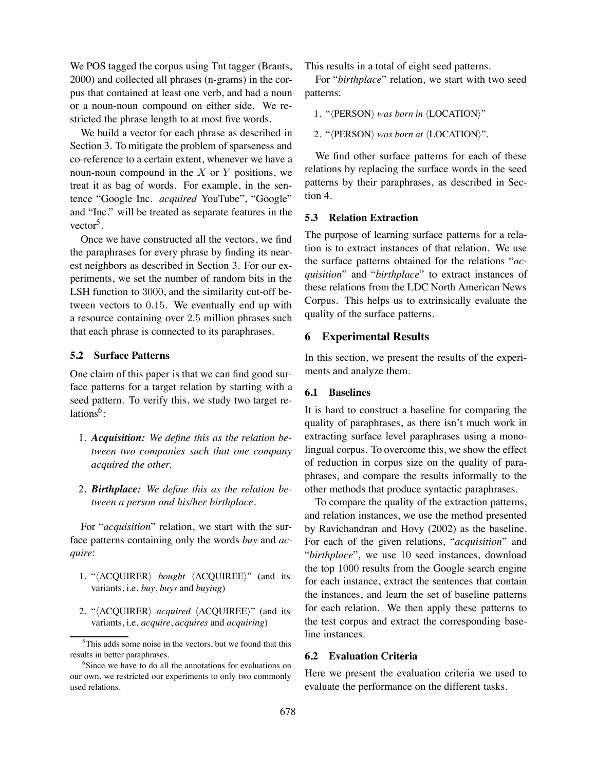We POS tagged the corpus using Tnt tagger (Brants, 2000) and collected all phrases (n-grams) in the corpus that contained at least one verb, and had a noun or a noun-noun compound on either side. We restricted the phrase length to at most five words.

We build a vector for each phrase as described in Section 3. To mitigate the problem of sparseness and co-reference to a certain extent, whenever we have a noun-noun compound in the  $X$  or  $Y$  positions, we treat it as bag of words. For example, in the sentence "Google Inc. *acquired* YouTube", "Google" and "Inc." will be treated as separate features in the vector<sup>5</sup>.

Once we have constructed all the vectors, we find the paraphrases for every phrase by finding its nearest neighbors as described in Section 3. For our experiments, we set the number of random bits in the LSH function to 3000, and the similarity cut-off between vectors to 0.15. We eventually end up with a resource containing over 2.5 million phrases such that each phrase is connected to its paraphrases.

# **5.2 Surface Patterns**

One claim of this paper is that we can find good surface patterns for a target relation by starting with a seed pattern. To verify this, we study two target relations $6$ :

- 1. *Acquisition: We define this as the relation between two companies such that one company acquired the other.*
- 2. *Birthplace: We define this as the relation between a person and his/her birthplace*.

For "*acquisition*" relation, we start with the surface patterns containing only the words *buy* and *acquire*:

- 1. "*(ACQUIRER) bought (ACQUIREE)*" (and its variants, i.e. *buy*, *buys* and *buying*)
- 2. "*(ACQUIRER) acquired (ACQUIREE)*" (and its variants, i.e. *acquire*, *acquires* and *acquiring*)

This results in a total of eight seed patterns.

For "*birthplace*" relation, we start with two seed patterns:

1. "*(PERSON) was born in (LOCATION)*"

2. "*(PERSON) was born at*  $\langle$ *LOCATION)"*.

We find other surface patterns for each of these relations by replacing the surface words in the seed patterns by their paraphrases, as described in Section 4.

### **5.3 Relation Extraction**

The purpose of learning surface patterns for a relation is to extract instances of that relation. We use the surface patterns obtained for the relations "*acquisition*" and "*birthplace*" to extract instances of these relations from the LDC North American News Corpus. This helps us to extrinsically evaluate the quality of the surface patterns.

# **6 Experimental Results**

In this section, we present the results of the experiments and analyze them.

#### **6.1 Baselines**

It is hard to construct a baseline for comparing the quality of paraphrases, as there isn't much work in extracting surface level paraphrases using a monolingual corpus. To overcome this, we show the effect of reduction in corpus size on the quality of paraphrases, and compare the results informally to the other methods that produce syntactic paraphrases.

To compare the quality of the extraction patterns, and relation instances, we use the method presented by Ravichandran and Hovy (2002) as the baseline. For each of the given relations, "*acquisition*" and "*birthplace*", we use 10 seed instances, download the top 1000 results from the Google search engine for each instance, extract the sentences that contain the instances, and learn the set of baseline patterns for each relation. We then apply these patterns to the test corpus and extract the corresponding baseline instances.

### **6.2 Evaluation Criteria**

Here we present the evaluation criteria we used to evaluate the performance on the different tasks.

<sup>&</sup>lt;sup>5</sup>This adds some noise in the vectors, but we found that this results in better paraphrases.

<sup>&</sup>lt;sup>6</sup>Since we have to do all the annotations for evaluations on our own, we restricted our experiments to only two commonly used relations.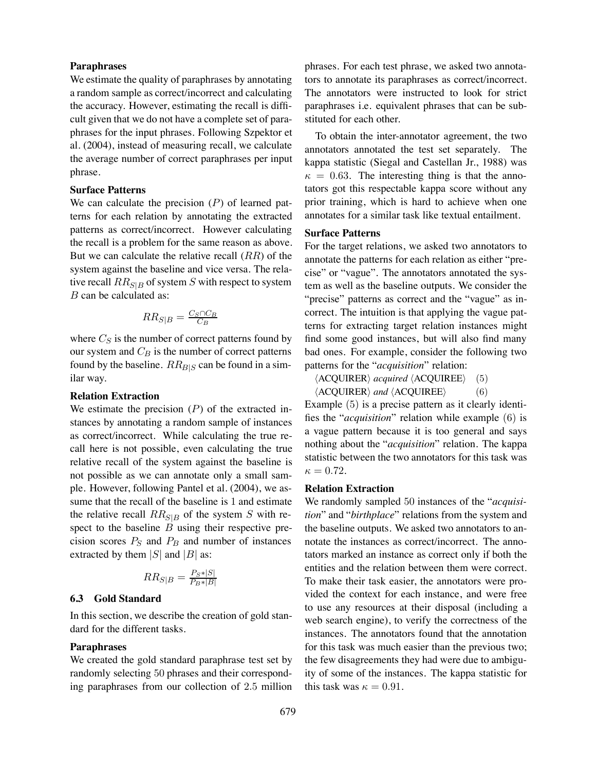### **Paraphrases**

We estimate the quality of paraphrases by annotating a random sample as correct/incorrect and calculating the accuracy. However, estimating the recall is difficult given that we do not have a complete set of paraphrases for the input phrases. Following Szpektor et al. (2004), instead of measuring recall, we calculate the average number of correct paraphrases per input phrase.

### **Surface Patterns**

We can calculate the precision  $(P)$  of learned patterns for each relation by annotating the extracted patterns as correct/incorrect. However calculating the recall is a problem for the same reason as above. But we can calculate the relative recall  $(RR)$  of the system against the baseline and vice versa. The relative recall  $RR_{S|B}$  of system S with respect to system B can be calculated as:

$$
RR_{S|B} = \tfrac{C_S \cap C_B}{C_B}
$$

where  $C_S$  is the number of correct patterns found by our system and  $C_B$  is the number of correct patterns found by the baseline.  $RR_{B|S}$  can be found in a similar way.

### **Relation Extraction**

We estimate the precision  $(P)$  of the extracted instances by annotating a random sample of instances as correct/incorrect. While calculating the true recall here is not possible, even calculating the true relative recall of the system against the baseline is not possible as we can annotate only a small sample. However, following Pantel et al. (2004), we assume that the recall of the baseline is 1 and estimate the relative recall  $RR_{S|B}$  of the system S with respect to the baseline  $B$  using their respective precision scores  $P_S$  and  $P_B$  and number of instances extracted by them  $|S|$  and  $|B|$  as:

$$
RR_{S|B} = \frac{P_{S} * |S|}{P_{B} * |B|}
$$

## **6.3 Gold Standard**

In this section, we describe the creation of gold standard for the different tasks.

#### **Paraphrases**

We created the gold standard paraphrase test set by randomly selecting 50 phrases and their corresponding paraphrases from our collection of 2.5 million phrases. For each test phrase, we asked two annotators to annotate its paraphrases as correct/incorrect. The annotators were instructed to look for strict paraphrases i.e. equivalent phrases that can be substituted for each other.

To obtain the inter-annotator agreement, the two annotators annotated the test set separately. The kappa statistic (Siegal and Castellan Jr., 1988) was  $\kappa = 0.63$ . The interesting thing is that the annotators got this respectable kappa score without any prior training, which is hard to achieve when one annotates for a similar task like textual entailment.

### **Surface Patterns**

For the target relations, we asked two annotators to annotate the patterns for each relation as either "precise" or "vague". The annotators annotated the system as well as the baseline outputs. We consider the "precise" patterns as correct and the "vague" as incorrect. The intuition is that applying the vague patterns for extracting target relation instances might find some good instances, but will also find many bad ones. For example, consider the following two patterns for the "*acquisition*" relation:

 $\langle \text{ACQUIRER} \rangle$  *acquired*  $\langle \text{ACQUIREE} \rangle$  (5)<br> $\langle \text{ACQUIRER} \rangle$  *and*  $\langle \text{ACQUIREE} \rangle$  (6)

 $\langle \text{ACQUIRER} \rangle$  and  $\langle \text{ACQUIREE} \rangle$ 

Example (5) is a precise pattern as it clearly identifies the "*acquisition*" relation while example (6) is a vague pattern because it is too general and says nothing about the "*acquisition*" relation. The kappa statistic between the two annotators for this task was  $\kappa = 0.72$ .

### **Relation Extraction**

We randomly sampled 50 instances of the "*acquisition*" and "*birthplace*" relations from the system and the baseline outputs. We asked two annotators to annotate the instances as correct/incorrect. The annotators marked an instance as correct only if both the entities and the relation between them were correct. To make their task easier, the annotators were provided the context for each instance, and were free to use any resources at their disposal (including a web search engine), to verify the correctness of the instances. The annotators found that the annotation for this task was much easier than the previous two; the few disagreements they had were due to ambiguity of some of the instances. The kappa statistic for this task was  $\kappa = 0.91$ .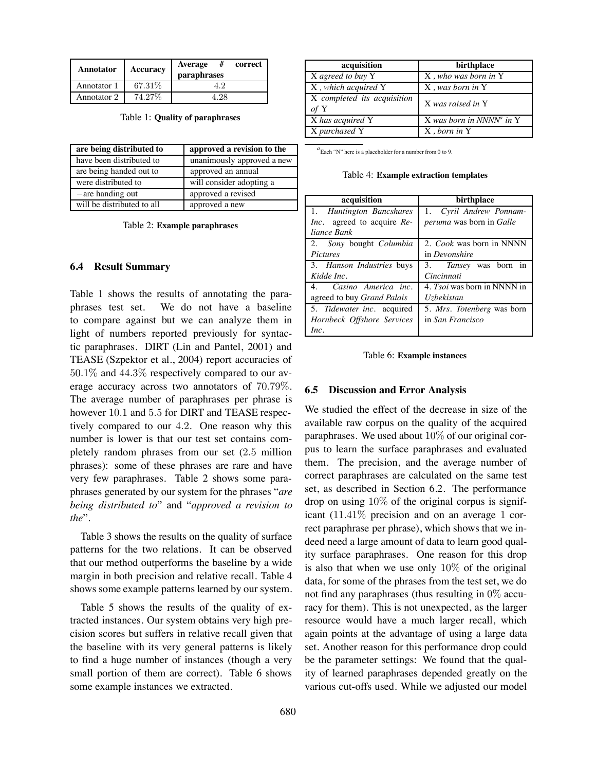| Annotator   | Accuracy | <b>Average</b><br>correct<br>paraphrases |
|-------------|----------|------------------------------------------|
| Annotator 1 | 67.31\%  | 4 D.                                     |
| Annotator 2 | 74.27%   | $\cdot$ ) $\times$                       |

Table 1: **Quality of paraphrases**

| are being distributed to   | approved a revision to the |
|----------------------------|----------------------------|
| have been distributed to   | unanimously approved a new |
| are being handed out to    | approved an annual         |
| were distributed to        | will consider adopting a   |
| $-$ are handing out        | approved a revised         |
| will be distributed to all | approved a new             |

Table 2: **Example paraphrases**

#### **6.4 Result Summary**

Table 1 shows the results of annotating the paraphrases test set. We do not have a baseline to compare against but we can analyze them in light of numbers reported previously for syntactic paraphrases. DIRT (Lin and Pantel, 2001) and TEASE (Szpektor et al., 2004) report accuracies of 50.1% and 44.3% respectively compared to our average accuracy across two annotators of 70.79%. The average number of paraphrases per phrase is however 10.1 and 5.5 for DIRT and TEASE respectively compared to our 4.2. One reason why this number is lower is that our test set contains completely random phrases from our set (2.5 million phrases): some of these phrases are rare and have very few paraphrases. Table 2 shows some paraphrases generated by our system for the phrases "*are being distributed to*" and "*approved a revision to the*".

Table 3 shows the results on the quality of surface patterns for the two relations. It can be observed that our method outperforms the baseline by a wide margin in both precision and relative recall. Table 4 shows some example patterns learned by our system.

Table 5 shows the results of the quality of extracted instances. Our system obtains very high precision scores but suffers in relative recall given that the baseline with its very general patterns is likely to find a huge number of instances (though a very small portion of them are correct). Table 6 shows some example instances we extracted.

| acquisition                         | birthplace                           |
|-------------------------------------|--------------------------------------|
| X agreed to buy Y                   | X, who was born in Y                 |
| X, which acquired Y                 | X, was born in Y                     |
| X completed its acquisition<br>of Y | X was raised in Y                    |
| X has acquired Y                    | X was born in NNNN <sup>a</sup> in Y |
| X purchased Y                       | X, born in Y                         |

*a* Each "N" here is a placeholder for a number from 0 to 9.

Table 4: **Example extraction templates**

| acquisition                      | birthplace                             |  |  |
|----------------------------------|----------------------------------------|--|--|
| 1. Huntington Bancshares         | 1. Cyril Andrew Ponnam-                |  |  |
| Inc. agreed to acquire Re-       | <i>peruma</i> was born in <i>Galle</i> |  |  |
| liance Bank                      |                                        |  |  |
| 2. Sony bought Columbia          | 2. Cook was born in NNNN               |  |  |
| <i>Pictures</i>                  | in Devonshire                          |  |  |
| 3. <i>Hanson Industries</i> buys | 3. <i>Tansey</i> was born<br>1n        |  |  |
| Kidde Inc.                       | Cincinnati                             |  |  |
| 4. Casino America inc.           | 4. Tsoi was born in NNNN in            |  |  |
| agreed to buy Grand Palais       | Uzbekistan                             |  |  |
| 5. Tidewater inc. acquired       | 5. <i>Mrs. Totenberg</i> was born      |  |  |
| Hornbeck Offshore Services       | in San Francisco                       |  |  |
| Inc.                             |                                        |  |  |

Table 6: **Example instances**

#### **6.5 Discussion and Error Analysis**

We studied the effect of the decrease in size of the available raw corpus on the quality of the acquired paraphrases. We used about  $10\%$  of our original corpus to learn the surface paraphrases and evaluated them. The precision, and the average number of correct paraphrases are calculated on the same test set, as described in Section 6.2. The performance drop on using 10% of the original corpus is significant  $(11.41\%$  precision and on an average 1 correct paraphrase per phrase), which shows that we indeed need a large amount of data to learn good quality surface paraphrases. One reason for this drop is also that when we use only  $10\%$  of the original data, for some of the phrases from the test set, we do not find any paraphrases (thus resulting in 0% accuracy for them). This is not unexpected, as the larger resource would have a much larger recall, which again points at the advantage of using a large data set. Another reason for this performance drop could be the parameter settings: We found that the quality of learned paraphrases depended greatly on the various cut-offs used. While we adjusted our model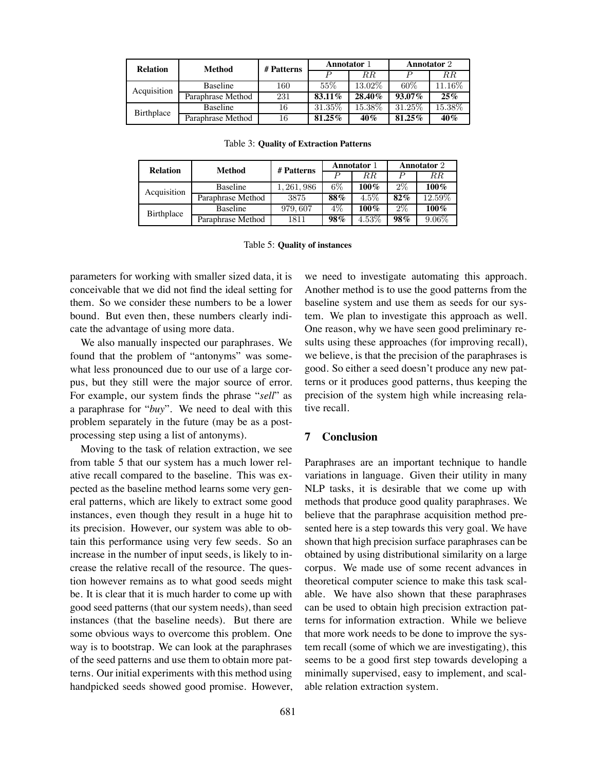| <b>Relation</b> | Method            | # Patterns | Annotator 1 |           | Annotator 2 |           |
|-----------------|-------------------|------------|-------------|-----------|-------------|-----------|
|                 |                   |            |             | R.R.      |             | $_{RR}$   |
| Acquisition     | <b>Baseline</b>   | 160        | 55%         | 13.02\%   | $60\%$      | $11.16\%$ |
|                 | Paraphrase Method | 231        | 83.11%      | $28.40\%$ | $93.07\%$   | $25\%$    |
| Birthplace      | <b>Baseline</b>   | 16         | 31.35\%     | 15.38\%   | 31.25\%     | 15.38%    |
|                 | Paraphrase Method | 16         | 81.25%      | $40\%$    | 81.25%      | 40%       |

**Relation Method # Patterns Annotator** <sup>1</sup> **Annotator** <sup>2</sup> P RR P RR Acquisition Baseline <sup>1</sup>, <sup>261</sup>, <sup>986</sup> 6% **100%** 2% **100%** Paraphrase Method 3875 **88%** 4.5% **82%** 12.59% Birthplace Baseline <sup>979</sup>, <sup>607</sup> 4% **100%** 2% **100%** Paraphrase Method 1811 **98%** 4.53% **98%** 9.06%

Table 3: **Quality of Extraction Patterns**

|  |  | Table 5: Quality of instances |
|--|--|-------------------------------|
|--|--|-------------------------------|

parameters for working with smaller sized data, it is conceivable that we did not find the ideal setting for them. So we consider these numbers to be a lower bound. But even then, these numbers clearly indicate the advantage of using more data.

We also manually inspected our paraphrases. We found that the problem of "antonyms" was somewhat less pronounced due to our use of a large corpus, but they still were the major source of error. For example, our system finds the phrase "*sell*" as a paraphrase for "*buy*". We need to deal with this problem separately in the future (may be as a postprocessing step using a list of antonyms).

Moving to the task of relation extraction, we see from table 5 that our system has a much lower relative recall compared to the baseline. This was expected as the baseline method learns some very general patterns, which are likely to extract some good instances, even though they result in a huge hit to its precision. However, our system was able to obtain this performance using very few seeds. So an increase in the number of input seeds, is likely to increase the relative recall of the resource. The question however remains as to what good seeds might be. It is clear that it is much harder to come up with good seed patterns (that our system needs), than seed instances (that the baseline needs). But there are some obvious ways to overcome this problem. One way is to bootstrap. We can look at the paraphrases of the seed patterns and use them to obtain more patterns. Our initial experiments with this method using handpicked seeds showed good promise. However, we need to investigate automating this approach. Another method is to use the good patterns from the baseline system and use them as seeds for our system. We plan to investigate this approach as well. One reason, why we have seen good preliminary results using these approaches (for improving recall), we believe, is that the precision of the paraphrases is good. So either a seed doesn't produce any new patterns or it produces good patterns, thus keeping the precision of the system high while increasing relative recall.

### **7 Conclusion**

Paraphrases are an important technique to handle variations in language. Given their utility in many NLP tasks, it is desirable that we come up with methods that produce good quality paraphrases. We believe that the paraphrase acquisition method presented here is a step towards this very goal. We have shown that high precision surface paraphrases can be obtained by using distributional similarity on a large corpus. We made use of some recent advances in theoretical computer science to make this task scalable. We have also shown that these paraphrases can be used to obtain high precision extraction patterns for information extraction. While we believe that more work needs to be done to improve the system recall (some of which we are investigating), this seems to be a good first step towards developing a minimally supervised, easy to implement, and scalable relation extraction system.